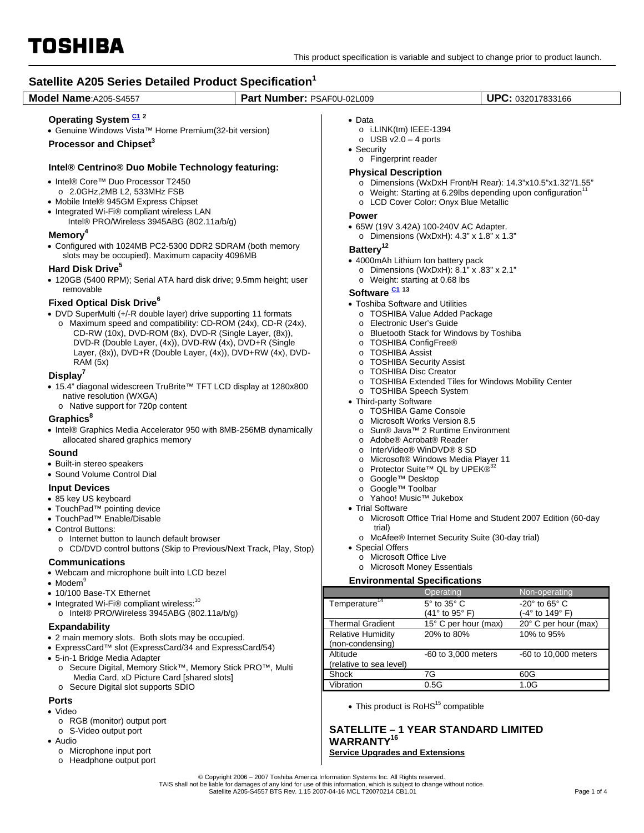

TOSHIBA **Satellite A205 Series Detailed Product Specification<sup>1</sup> Model Name**:A205-S4557 **Part Number:** PSAF0U-02L009 **UPC:** 032017833166 **Operating System C1 <sup>2</sup>** • Genuine Windows Vista™ Home Premium(32-bit version) **Processor and Chipset3 Intel® Centrino® Duo Mobile Technology featuring:**  • Intel® Core™ Duo Processor T2450 o 2.0GHz,2MB L2, 533MHz FSB • Mobile Intel® 945GM Express Chipset • Integrated Wi-Fi® compliant wireless LAN Intel® PRO/Wireless 3945ABG (802.11a/b/g) **Memory4** • Configured with 1024MB PC2-5300 DDR2 SDRAM (both memory slots may be occupied). Maximum capacity 4096MB **Hard Disk Drive<sup>5</sup>**  • 120GB (5400 RPM); Serial ATA hard disk drive; 9.5mm height; user removable **Fixed Optical Disk Drive<sup>6</sup>** • DVD SuperMulti (+/-R double layer) drive supporting 11 formats o Maximum speed and compatibility: CD-ROM (24x), CD-R (24x), CD-RW (10x), DVD-ROM (8x), DVD-R (Single Layer, (8x)), DVD-R (Double Layer, (4x)), DVD-RW (4x), DVD+R (Single Layer, (8x)), DVD+R (Double Layer, (4x)), DVD+RW (4x), DVD-RAM (5x) **Display7** • 15.4" diagonal widescreen TruBrite™ TFT LCD display at 1280x800 native resolution (WXGA) o Native support for 720p content **Graphics**<sup>8</sup> • Intel® Graphics Media Accelerator 950 with 8MB-256MB dynamically allocated shared graphics memory **Sound**  • Built-in stereo speakers • Sound Volume Control Dial **Input Devices**  • 85 key US keyboard • TouchPad™ pointing device • TouchPad™ Enable/Disable • Control Buttons: o Internet button to launch default browser o CD/DVD control buttons (Skip to Previous/Next Track, Play, Stop) **Communications**  • Webcam and microphone built into LCD bezel  $\bullet$  Modem $^9$ • 10/100 Base-TX Ethernet  $\bullet$  Integrated Wi-Fi® compliant wireless:<sup>10</sup> o Intel® PRO/Wireless 3945ABG (802.11a/b/g) **Expandability**  • 2 main memory slots. Both slots may be occupied. • ExpressCard™ slot (ExpressCard/34 and ExpressCard/54) • 5-in-1 Bridge Media Adapter • Data o i.LINK(tm) IEEE-1394  $\circ$  USB v2.0 – 4 ports • Security o Fingerprint reader **Physical Description**  o Dimensions (WxDxH Front/H Rear): 14.3"x10.5"x1.32"/1.55"  $\circ$  Weight: Starting at 6.29lbs depending upon configuration<sup>1</sup> o LCD Cover Color: Onyx Blue Metallic **Power**  • 65W (19V 3.42A) 100-240V AC Adapter.  $\circ$  Dimensions (WxDxH): 4.3" x 1.8" x 1.3" **Battery12**  • 4000mAh Lithium Ion battery pack  $\circ$  Dimensions (WxDxH): 8.1" x .83" x 2.1" o Weight: starting at 0.68 lbs **Software**  $\frac{C1}{13}$  13 • Toshiba Software and Utilities o TOSHIBA Value Added Package o Electronic User's Guide o Bluetooth Stack for Windows by Toshiba o TOSHIBA ConfigFree® o TOSHIBA Assist o TOSHIBA Security Assist o TOSHIBA Disc Creator o TOSHIBA Extended Tiles for Windows Mobility Center o TOSHIBA Speech System • Third-party Software o TOSHIBA Game Console o Microsoft Works Version 8.5 o Sun® Java™ 2 Runtime Environment o Adobe® Acrobat® Reader o InterVideo® WinDVD® 8 SD o Microsoft® Windows Media Player 11<br>
o Protector Suite™ QL by UPEK®<sup>32</sup> Protector Suite™ QL by UPEK®<sup>32</sup> o Google™ Desktop o Google™ Toolbar o Yahoo! Music™ Jukebox • Trial Software o Microsoft Office Trial Home and Student 2007 Edition (60-day trial) o McAfee® Internet Security Suite (30-day trial) • Special Offers o Microsoft Office Live o Microsoft Money Essentials **Environmental Specifications**  Operating Non-operating Temperature<sup>14</sup> 5° to 35° C (41° to 95° F) -20° to 65° C (-4° to 149° F) Thermal Gradient 15° C per hour (max) 20° C per hour (max) Relative Humidity (non-condensing) 20% to 80% 10% to 95%

- o Secure Digital, Memory Stick™, Memory Stick PRO™, Multi
	- Media Card, xD Picture Card [shared slots]
- o Secure Digital slot supports SDIO

# **Ports**

- Video
	- o RGB (monitor) output port
	- o S-Video output port
- Audio
	- o Microphone input port
	- o Headphone output port

|                           | Operating             | Non-operating                |
|---------------------------|-----------------------|------------------------------|
| Temperature <sup>14</sup> | 5° to 35° C           | $-20^\circ$ to 65 $^\circ$ C |
|                           | (41° to 95° F)        | (-4° to 149° F)              |
| <b>Thermal Gradient</b>   | 15° C per hour (max)  | 20° C per hour (max)         |
| <b>Relative Humidity</b>  | 20% to 80%            | 10% to 95%                   |
| (non-condensing)          |                       |                              |
| Altitude                  | $-60$ to 3,000 meters | -60 to 10,000 meters         |
| (relative to sea level)   |                       |                              |
| Shock                     | 7G                    | 60G                          |
| Vibration                 | 0.5G                  | 1.0G                         |
|                           |                       |                              |

 $\bullet$  This product is RoHS<sup>15</sup> compatible

## **SATELLITE – 1 YEAR STANDARD LIMITED WARRANTY16 Service Upgrades and Extensions**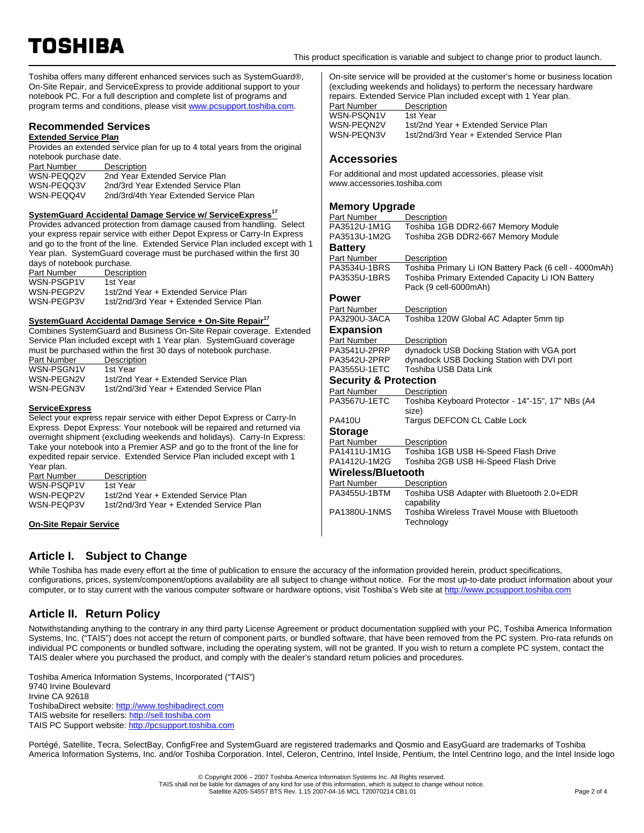Toshiba offers many different enhanced services such as SystemGuard®, On-Site Repair, and ServiceExpress to provide additional support to your notebook PC. For a full description and complete list of programs and program terms and conditions, please visit www.pcsupport.toshiba.com.

# **Recommended Services**

# **Extended Service Plan**

Provides an extended service plan for up to 4 total years from the original notebook purchase date.

| Part Number | Description                            |
|-------------|----------------------------------------|
| WSN-PEQQ2V  | 2nd Year Extended Service Plan         |
| WSN-PEQQ3V  | 2nd/3rd Year Extended Service Plan     |
| WSN-PEQQ4V  | 2nd/3rd/4th Year Extended Service Plan |

### **SystemGuard Accidental Damage Service w/ ServiceExpress<sup>17</sup>**

Provides advanced protection from damage caused from handling. Select your express repair service with either Depot Express or Carry-In Express and go to the front of the line. Extended Service Plan included except with 1 Year plan. SystemGuard coverage must be purchased within the first 30 days of notebook purchase.

| Part Number | Description                              |
|-------------|------------------------------------------|
| WSN-PSGP1V  | 1st Year                                 |
| WSN-PEGP2V  | 1st/2nd Year + Extended Service Plan     |
| WSN-PEGP3V  | 1st/2nd/3rd Year + Extended Service Plan |

### **SystemGuard Accidental Damage Service + On-Site Repair<sup>17</sup>**

Combines SystemGuard and Business On-Site Repair coverage. Extended Service Plan included except with 1 Year plan. SystemGuard coverage must be purchased within the first 30 days of notebook purchase.

| Part Number | Description                              |
|-------------|------------------------------------------|
| WSN-PSGN1V  | 1st Year                                 |
| WSN-PEGN2V  | 1st/2nd Year + Extended Service Plan     |
| WSN-PEGN3V  | 1st/2nd/3rd Year + Extended Service Plan |

#### **ServiceExpress**

Select your express repair service with either Depot Express or Carry-In Express. Depot Express: Your notebook will be repaired and returned via overnight shipment (excluding weekends and holidays). Carry-In Express: Take your notebook into a Premier ASP and go to the front of the line for expedited repair service. Extended Service Plan included except with 1 Year plan.

| Part Number | Description                              |
|-------------|------------------------------------------|
| WSN-PSOP1V  | 1st Year                                 |
| WSN-PEOP2V  | 1st/2nd Year + Extended Service Plan     |
| WSN-PEQP3V  | 1st/2nd/3rd Year + Extended Service Plan |

**On-Site Repair Service**

On-site service will be provided at the customer's home or business location (excluding weekends and holidays) to perform the necessary hardware repairs. Extended Service Plan included except with 1 Year plan.<br>Part Number **Description** Part Number Description WSN-PSQN1V<br>WSN-PEQN2V WSN-PEQN2V 1st/2nd Year + Extended Service Plan<br>WSN-PEQN3V 1st/2nd/3rd Year + Extended Service F 1st/2nd/3rd Year + Extended Service Plan

# **Accessories**

For additional and most updated accessories, please visit www.accessories.toshiba.com

# **Memory Upgrade**

| Part Number                      | Description                                            |
|----------------------------------|--------------------------------------------------------|
| PA3512U-1M1G                     | Toshiba 1GB DDR2-667 Memory Module                     |
| PA3513U-1M2G                     | Toshiba 2GB DDR2-667 Memory Module                     |
| <b>Battery</b>                   |                                                        |
| Part Number                      | Description                                            |
| PA3534U-1BRS                     | Toshiba Primary Li ION Battery Pack (6 cell - 4000mAh) |
| PA3535U-1BRS                     | Toshiba Primary Extended Capacity Li ION Battery       |
|                                  | Pack (9 cell-6000mAh)                                  |
| Power                            |                                                        |
| Part Number                      | Description                                            |
| PA3290U-3ACA                     | Toshiba 120W Global AC Adapter 5mm tip                 |
| <b>Expansion</b>                 |                                                        |
| Part Number                      | Description                                            |
| PA3541U-2PRP                     | dynadock USB Docking Station with VGA port             |
| PA3542U-2PRP                     | dynadock USB Docking Station with DVI port             |
| PA3555U-1ETC                     | Toshiba USB Data Link                                  |
| <b>Security &amp; Protection</b> |                                                        |
| Part Number                      | Description                                            |
| PA3567U-1ETC                     | Toshiba Keyboard Protector - 14"-15", 17" NBs (A4      |
|                                  | size)                                                  |
| <b>PA410U</b>                    | Targus DEFCON CL Cable Lock                            |
| <b>Storage</b>                   |                                                        |
| Part Number                      | Description                                            |
| PA1411U-1M1G                     | Toshiba 1GB USB Hi-Speed Flash Drive                   |
| PA1412U-1M2G                     | Toshiba 2GB USB Hi-Speed Flash Drive                   |
| Wireless/Bluetooth               |                                                        |
| Part Number                      | Description                                            |
| PA3455U-1BTM                     | Toshiba USB Adapter with Bluetooth 2.0+EDR             |
|                                  | capability                                             |
| <b>PA1380U-1NMS</b>              | Toshiba Wireless Travel Mouse with Bluetooth           |
|                                  | Technology                                             |
|                                  |                                                        |

# **Article I. Subject to Change**

While Toshiba has made every effort at the time of publication to ensure the accuracy of the information provided herein, product specifications, configurations, prices, system/component/options availability are all subject to change without notice. For the most up-to-date product information about your computer, or to stay current with the various computer software or hardware options, visit Toshiba's Web site at http://www.pcsupport.toshiba.com

# **Article II. Return Policy**

Notwithstanding anything to the contrary in any third party License Agreement or product documentation supplied with your PC, Toshiba America Information Systems, Inc. ("TAIS") does not accept the return of component parts, or bundled software, that have been removed from the PC system. Pro-rata refunds on individual PC components or bundled software, including the operating system, will not be granted. If you wish to return a complete PC system, contact the TAIS dealer where you purchased the product, and comply with the dealer's standard return policies and procedures.

Toshiba America Information Systems, Incorporated ("TAIS") 9740 Irvine Boulevard Irvine CA 92618 ToshibaDirect website: http://www.toshibadirect.com TAIS website for resellers: http://sell.toshiba.com TAIS PC Support website: http://pcsupport.toshiba.com

Portégé, Satellite, Tecra, SelectBay, ConfigFree and SystemGuard are registered trademarks and Qosmio and EasyGuard are trademarks of Toshiba America Information Systems, Inc. and/or Toshiba Corporation. Intel, Celeron, Centrino, Intel Inside, Pentium, the Intel Centrino logo, and the Intel Inside logo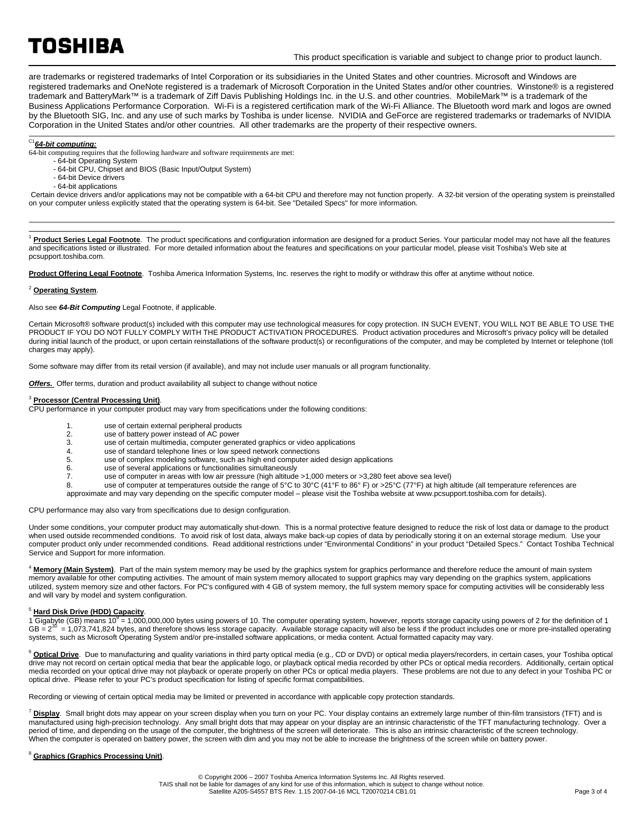# TOSHIBA

are trademarks or registered trademarks of Intel Corporation or its subsidiaries in the United States and other countries. Microsoft and Windows are registered trademarks and OneNote registered is a trademark of Microsoft Corporation in the United States and/or other countries. Winstone® is a registered trademark and BatteryMark™ is a trademark of Ziff Davis Publishing Holdings Inc. in the U.S. and other countries. MobileMark™ is a trademark of the Business Applications Performance Corporation. Wi-Fi is a registered certification mark of the Wi-Fi Alliance. The Bluetooth word mark and logos are owned by the Bluetooth SIG, Inc. and any use of such marks by Toshiba is under license. NVIDIA and GeForce are registered trademarks or trademarks of NVIDIA Corporation in the United States and/or other countries. All other trademarks are the property of their respective owners.

# C1*64-bit computing:*

- 64-bit computing requires that the following hardware and software requirements are met:
	- 64-bit Operating System
	- 64-bit CPU, Chipset and BIOS (Basic Input/Output System)
	- 64-bit Device drivers - 64-bit applications
- Certain device drivers and/or applications may not be compatible with a 64-bit CPU and therefore may not function properly. A 32-bit version of the operating system is preinstalled on your computer unless explicitly stated that the operating system is 64-bit. See "Detailed Specs" for more information.

Product Series Legal Footnote. The product specifications and configuration information are designed for a product Series. Your particular model may not have all the features and specifications listed or illustrated. For more detailed information about the features and specifications on your particular model, please visit Toshiba's Web site at pcsupport.toshiba.com.

**Product Offering Legal Footnote**. Toshiba America Information Systems, Inc. reserves the right to modify or withdraw this offer at anytime without notice.

#### <sup>2</sup> **Operating System**.

 $\overline{a}$ 

#### Also see *64-Bit Computing* Legal Footnote, if applicable.

Certain Microsoft® software product(s) included with this computer may use technological measures for copy protection. IN SUCH EVENT, YOU WILL NOT BE ABLE TO USE THE PRODUCT IF YOU DO NOT FULLY COMPLY WITH THE PRODUCT ACTIVATION PROCEDURES. Product activation procedures and Microsoft's privacy policy will be detailed during initial launch of the product, or upon certain reinstallations of the software product(s) or reconfigurations of the computer, and may be completed by Internet or telephone (toll charges may apply).

Some software may differ from its retail version (if available), and may not include user manuals or all program functionality.

**Offers.** Offer terms, duration and product availability all subject to change without notice

#### <sup>3</sup> **Processor (Central Processing Unit)**.

CPU performance in your computer product may vary from specifications under the following conditions:

- 1. use of certain external peripheral products<br>2 use of battery power instead of AC power
- use of battery power instead of AC power
- 3. use of certain multimedia, computer generated graphics or video applications<br>4
- 4. use of standard telephone lines or low speed network connections<br>5 use of complex modeling software such as bigh end computer aid
- use of complex modeling software, such as high end computer aided design applications
- 6. use of several applications or functionalities simultaneously
- 7. use of computer in areas with low air pressure (high altitude >1,000 meters or >3,280 feet above sea level)<br>8 use of computer at temperatures outside the range of 5°C to 30°C (41°F to 86° F) or >25°C (77°F) at high a
- use of computer at temperatures outside the range of 5°C to 30°C (41°F to 86° F) or >25°C (77°F) at high altitude (all temperature references are
- approximate and may vary depending on the specific computer model please visit the Toshiba website at www.pcsupport.toshiba.com for details).

CPU performance may also vary from specifications due to design configuration.

Under some conditions, your computer product may automatically shut-down. This is a normal protective feature designed to reduce the risk of lost data or damage to the product when used outside recommended conditions. To avoid risk of lost data, always make back-up copies of data by periodically storing it on an external storage medium. Use your computer product only under recommended conditions. Read additional restrictions under "Environmental Conditions" in your product "Detailed Specs." Contact Toshiba Technical Service and Support for more information.

<sup>4</sup> Memory (Main System). Part of the main system memory may be used by the graphics system for graphics performance and therefore reduce the amount of main system memory available for other computing activities. The amount of main system memory allocated to support graphics may vary depending on the graphics system, applications utilized, system memory size and other factors. For PC's configured with 4 GB of system memory, the full system memory space for computing activities will be considerably less and will vary by model and system configuration.

### <sup>5</sup> **Hard Disk Drive (HDD) Capacity**.

1 Gigabyte (GB) means 10<sup>9</sup> = 1,000,000,000 bytes using powers of 10. The computer operating system, however, reports storage capacity using powers of 2 for the definition of 1 GB =  $2^{30}$  = 1,073,741,824 bytes, and therefore shows less storage capacity. Available storage capacity will also be less if the product includes one or more pre-installed operating systems, such as Microsoft Operating System and/or pre-installed software applications, or media content. Actual formatted capacity may vary.

<sup>6</sup> Optical Drive. Due to manufacturing and quality variations in third party optical media (e.g., CD or DVD) or optical media players/recorders, in certain cases, your Toshiba optical drive may not record on certain optical media that bear the applicable logo, or playback optical media recorded by other PCs or optical media recorders. Additionally, certain optical media recorded on your optical drive may not playback or operate properly on other PCs or optical media players. These problems are not due to any defect in your Toshiba PC or optical drive. Please refer to your PC's product specification for listing of specific format compatibilities.

Recording or viewing of certain optical media may be limited or prevented in accordance with applicable copy protection standards.

<sup>7</sup> **Display**. Small bright dots may appear on your screen display when you turn on your PC. Your display contains an extremely large number of thin-film transistors (TFT) and is manufactured using high-precision technology. Any small bright dots that may appear on your display are an intrinsic characteristic of the TFT manufacturing technology. Over a period of time, and depending on the usage of the computer, the brightness of the screen will deteriorate. This is also an intrinsic characteristic of the screen technology. When the computer is operated on battery power, the screen with dim and you may not be able to increase the brightness of the screen while on battery power.

#### <sup>8</sup> **Graphics (Graphics Processing Unit)**.